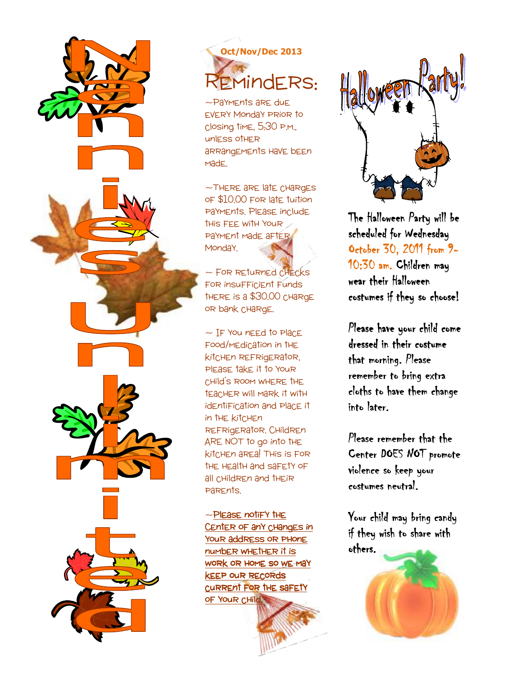

## **Oct/Nov/Dec 2013**  1indERS:

~PaYMEnts are due every Monday prior to closing time, 5:30 p.m., unless other arrangements have been made.

~There are late charges of \$10.00 for late tuition payments. Please include this fee with your PaYMEnt Made aFTER Monda<sup>Y</sup>.

 $\sim$  FOR RETURNED CHECKS for insufficient funds there is a \$30.00 charge or bank charge.

 $\sim$  IF You need to Place food/medication in the kitchen refrigerator, please take it to your child's room where the teacher will mark it with identification and place it in the kitchen refrigerator. Children ARE NOT to go into the kitchen area! This is for the health and safety of all children and their parents.

 $\sim$ Please notify the Center of any changes in Your address or PHonE number whether it is work or home so we may keep our records current for the safety of Your CHild.



The Halloween Party will be scheduled for Wednesday October 30, 2011 from 9-10:30 am. Children may wear their Halloween costumes if they so choose!

Please have your child come dressed in their costume that morning. Please remember to bring extra cloths to have them change intolater.

Please remember that the Center DOES NOT promote violence so keep your costumes neutral.

Your child may bring candy if they wish to share with others.

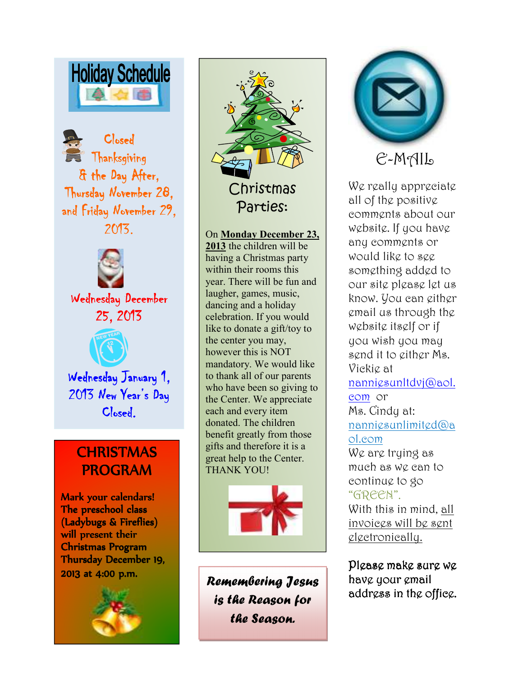

Closed Thanksgiving & the Day After, Thursday November 28, and Friday November 29, 2013.



Wednesday December 25, 2013



Wednesday January 1, 2013 New Year's Day Closed.

### **CHRISTMAS** PROGRAM

Mark your calendars! The preschool class (Ladybugs & Fireflies) will present their Christmas Program Thursday December 19, 2013 at 4:00 p.m.





\ to thank all of our parents **2013** the children will be having a Christmas party within their rooms this year. There will be fun and laugher, games, music, dancing and a holiday celebration. If you would like to donate a gift/toy to the center you may, however this is NOT mandatory. We would like who have been so giving to the Center. We appreciate each and every item donated. The children benefit greatly from those gifts and therefore it is a great help to the Center. THANK YOU!



Remembering Jesus is the Reason for the Season.



## E-MAIL

We really appreciate all of the positive comments about our website. If you have any comments or would like to see something added to our site please let us know. You can either email us through the website itself or if you wish you may send it to either Ms. Vickie at nanniesunltdvj@aol. com or Ms. Cindy at: nanniesunlimited@a ol.com We are trying as much as we can to continue to go "GREEN". With this in mind, all invoices will be sent electronically.

Please make sure we have your email address in the office.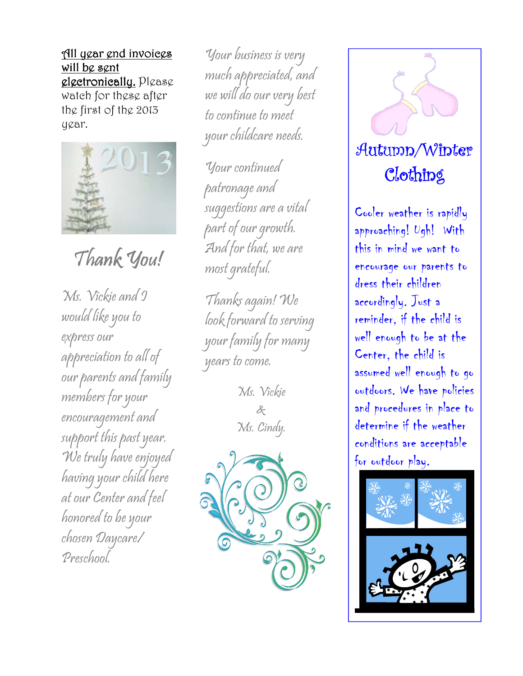All year end invoices will be sent glgetronically. Please watch for these after the first of the 2013 year.



Thank You!

Ms. Vickie and I would like you to express our appreciation to all of our parents and family members for your encouragement and support this past year. We truly have enjoyed having your child here at our Center and feel honored to be your chosen Daycare/ Preschool.

Your business is very much appreciated, and we will do our very best to continue to meet your childcare needs.

Your continued patronage and suggestions are a vital part of our growth. And for that, we are most grateful.

Thanks again! We look forward to serving your family for many years to come.

> Ms. Vickie & Ms. Cindy.





Cooler weather is rapidly approaching! Ugh! With this in mind we want to encourage our parents to dress their children accordingly. Just a reminder, if the child is well enough to be at the Center, the child is assumed well enough to go outdoors. We have policies and procedures in place to determine if the weather conditions are acceptable for outdoor play.

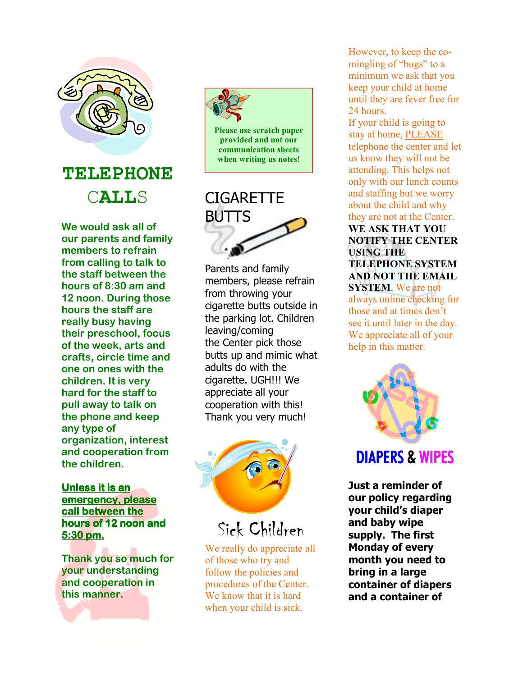

**TELEPHONE**  C**ALL**S

**We would ask all of our parents and family members to refrain from calling to talk to the staff between the hours of 8:30 am and 12 noon. During those hours the staff are really busy having their preschool, focus of the week, arts and crafts, circle time and one on ones with the children. It is very hard for the staff to pull away to talk on the phone and keep any type of organization, interest and cooperation from the children.** 

#### **Unless it is an emergency, please call between the hours of 12 noon and 5:30 pm.**

**Thank you so much for your understanding and cooperation in this manner.** 



# **CIGARETTE** BUTTS

Parents and family members, please refrain from throwing your cigarette butts outside in the parking lot. Children leaving/coming the Center pick those butts up and mimic what adults do with the cigarette. UGH!!! We appreciate all your cooperation with this! Thank you very much!



Sick Children

We really do appreciate all of those who try and follow the policies and procedures of the Center. We know that it is hard when your child is sick.

However, to keep the comingling of "bugs" to a minimum we ask that you keep your child at home until they are fever free for 24 hours.

If your child is going to stay at home, PLEASE telephone the center and let us know they will not be attending. This helps not only with our lunch counts and staffing but we worry about the child and why they are not at the Center. **WE ASK THAT YOU NOTIFY THE CENTER USING THE TELEPHONE SYSTEM AND NOT THE EMAIL SYSTEM**. We are not

always online checking for those and at times don't see it until later in the day. We appreciate all of your help in this matter.



## DIAPERS& WIPES

**Just a reminder of our policy regarding your child's diaper and baby wipe supply. The first Monday of every month you need to bring in a large container of diapers and a container of**